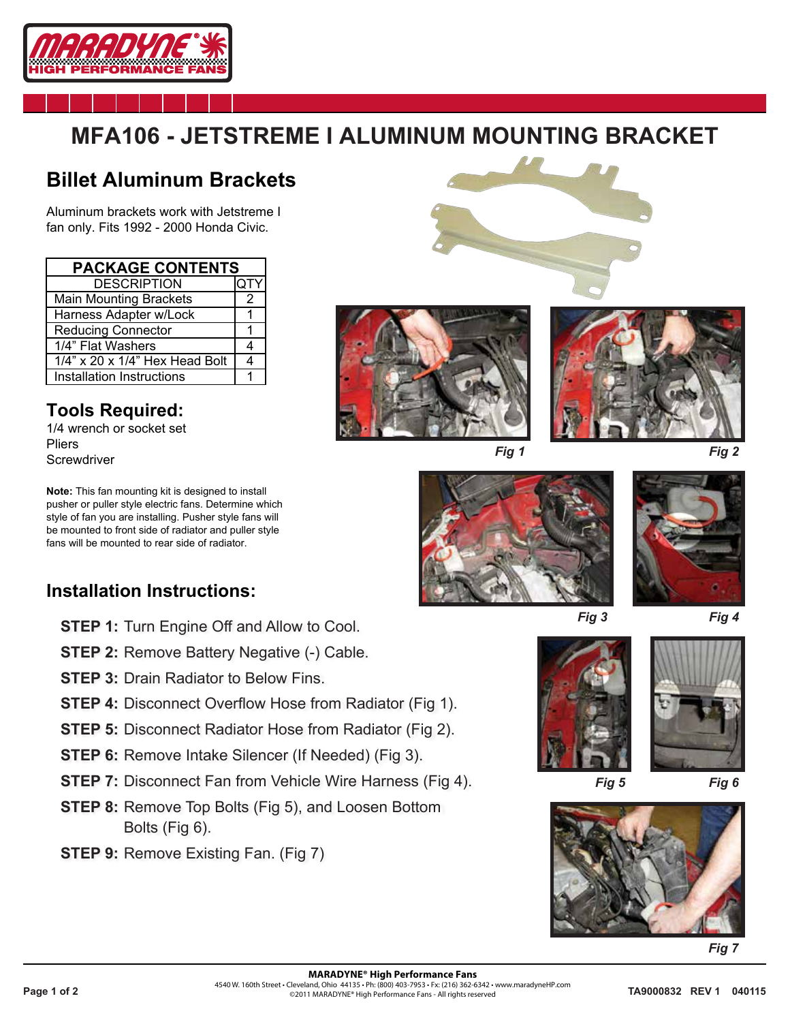

## **MFA106 - JETSTREME I ALUMINUM MOUNTING BRACKET**

## **Billet Aluminum Brackets**

Aluminum brackets work with Jetstreme I fan only. Fits 1992 - 2000 Honda Civic.

| <b>PACKAGE CONTENTS</b>              |     |
|--------------------------------------|-----|
| <b>DESCRIPTION</b>                   | QTY |
| <b>Main Mounting Brackets</b>        | 2   |
| Harness Adapter w/Lock               |     |
| <b>Reducing Connector</b>            |     |
| 1/4" Flat Washers                    |     |
| $1/4$ " x 20 x $1/4$ " Hex Head Bolt |     |
| Installation Instructions            |     |

**Tools Required:** 1/4 wrench or socket set Pliers **Screwdriver** 

**Note:** This fan mounting kit is designed to install pusher or puller style electric fans. Determine which style of fan you are installing. Pusher style fans will be mounted to front side of radiator and puller style fans will be mounted to rear side of radiator.

## **Installation Instructions:**

- **STEP 1: Turn Engine Off and Allow to Cool.**
- **STEP 2: Remove Battery Negative (-) Cable.**
- **STEP 3:** Drain Radiator to Below Fins.
- **STEP 4:** Disconnect Overflow Hose from Radiator (Fig 1).
- **STEP 5:** Disconnect Radiator Hose from Radiator (Fig 2).
- **STEP 6:** Remove Intake Silencer (If Needed) (Fig 3).
- **STEP 7:** Disconnect Fan from Vehicle Wire Harness (Fig 4).
- **STEP 8:** Remove Top Bolts (Fig 5), and Loosen Bottom Bolts (Fig 6).
- **STEP 9: Remove Existing Fan. (Fig 7)**













*Fig 3 Fig 4*